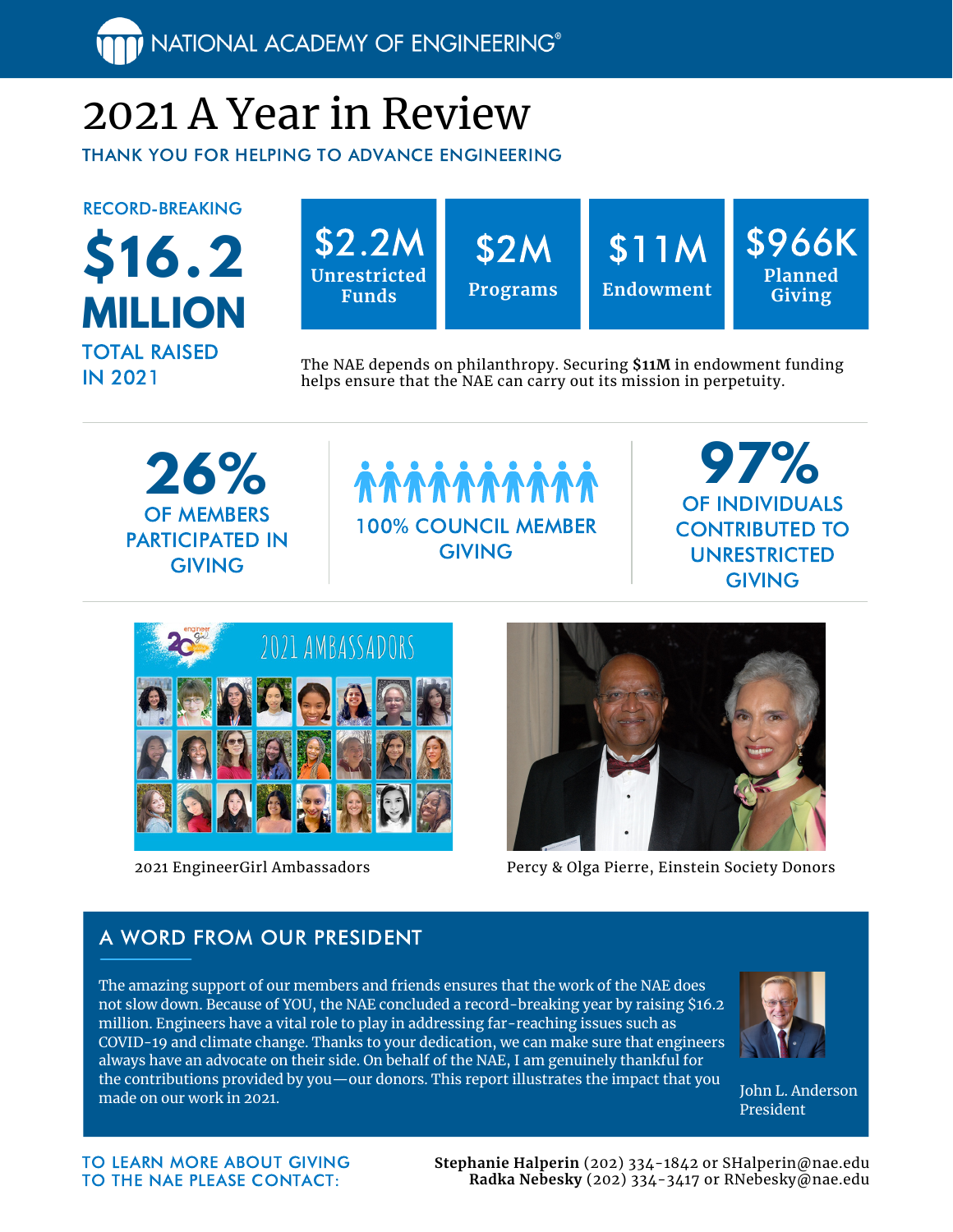NATIONAL ACADEMY OF ENGINEERING®

# 2021 A Year in Review

THANK YOU FOR HELPING TO ADVANCE ENGINEERING

RECORD-BREAKING





The NAE depends on philanthropy. Securing **\$11M** in endowment funding helps ensure that the NAE can carry out its mission in perpetuity.

**26%** OF MEMBERS PARTICIPATED IN **GIVING** 



**97%** OF INDIVIDUALS CONTRIBUTED TO UNRESTRICTED **GIVING** 



2021 EngineerGirl Ambassadors



Percy & Olga Pierre, Einstein Society Donors

#### A WORD FROM OUR PRESIDENT

The amazing support of our members and friends ensures that the work of the NAE does not slow down. Because of YOU, the NAE concluded a record-breaking year by raising \$16.2 million. Engineers have a vital role to play in addressing far-reaching issues such as COVID-19 and climate change. Thanks to your dedication, we can make sure that engineers always have an advocate on their side. On behalf of the NAE, I am genuinely thankful for the contributions provided by you—our donors. This report illustrates the impact that you made on our work in 2021.



John L. Anderson President

TO LEARN MORE ABOUT GIVING TO THE NAE PLEASE CONTACT:

**Stephanie Halperin** (202) 334-1842 or SHalperin@nae.edu **Radka Nebesky** (202) 334-3417 or RNebesky@nae.edu